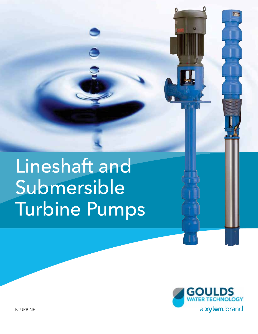# Lineshaft and Submersible Turbine Pumps



BTURBINE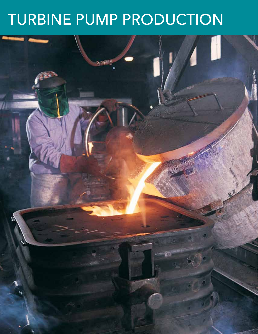## TURBINE PUMP PRODUCTION

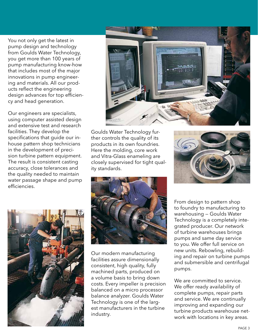You not only get the latest in pump design and technology from Goulds Water Technology, you get more than 100 years of pump manufacturing know-how that includes most of the major innovations in pump engineering and materials. All our products reflect the engineering design advances for top efficiency and head generation.

Our engineers are specialists, using computer assisted design and extensive test and research facilities. They develop the specifications that guide our inhouse pattern shop technicians in the development of precision turbine pattern equipment. The result is consistent casting accuracy, close tolerances and the quality needed to maintain water passage shape and pump efficiencies.



Goulds Water Technology further controls the quality of its products in its own foundries. Here the molding, core work and Vitra-Glass enameling are closely supervised for tight quality standards.







Our modern manufacturing facilities assure dimensionally consistent, high quality, fully machined parts, produced on a volume basis to bring down costs. Every impeller is precision balanced on a micro processor balance analyzer. Goulds Water Technology is one of the largest manufacturers in the turbine industry.

From design to pattern shop to foundry to manufacturing to warehousing — Goulds Water Technology is a completely integrated producer. Our network of turbine warehouses brings pumps and same day service to you. We offer full service on new units. Rebowling, rebuilding and repair on turbine pumps and submersible and centrifugal pumps.

We are committed to service. We offer ready availability of complete pumps, repair parts and service. We are continually improving and expanding our turbine products warehouse network with locations in key areas.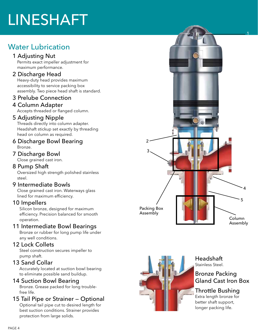## LINESHAFT

## Water Lubrication

#### 1 Adjusting Nut

 Permits exact impeller adjustment for maximum performance.

#### 2 Discharge Head

 Heavy-duty head provides maximum accessibility to service packing box assembly. Two piece head shaft is standard.

#### 3 Prelube Connection

### 4 Column Adapter

Accepts threaded or flanged column.

#### 5 Adjusting Nipple

 Threads directly into column adapter. Headshaft stickup set exactly by threading head on column as required.

#### 6 Discharge Bowl Bearing Bronze.

#### 7 Discharge Bowl

Close grained cast iron.

#### 8 Pump Shaft

 Oversized high strength polished stainless steel.

#### 9 Intermediate Bowls

 Close grained cast iron. Waterways glass lined for maximum efficiency.

#### 10 Impellers

 Silicon bronze, designed for maximum efficiency. Precision balanced for smooth operation.

#### 11 Intermediate Bowl Bearings

 Bronze or rubber for long pump life under any well conditions.

#### 12 Lock Collets

 Steel construction secures impeller to pump shaft.

#### 13 Sand Collar

 Accurately located at suction bowl bearing to eliminate possible sand buildup.

#### 14 Suction Bowl Bearing

 Bronze. Grease packed for long trouble free life.

#### 15 Tail Pipe or Strainer — Optional

 Optional tail pipe cut to desired length for best suction conditions. Strainer provides protection from large solids.





Headshaft Stainless Steel.

#### Bronze Packing Gland Cast Iron Box

#### Throttle Bushing

Extra length bronze for better shaft support, longer packing life.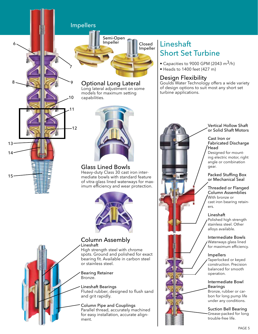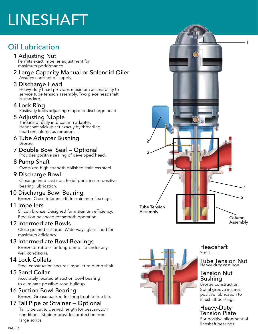## LINESHAFT

## Oil Lubrication

#### 1 Adjusting Nut

 Permits exact impeller adjustment for maximum performance.

2 Large Capacity Manual or Solenoid Oiler Assures constant oil supply.

#### 3 Discharge Head

 Heavy-duty head provides maximum accessibility to service tube tension assembly. Two piece headshaft is standard.

#### 4 Lock Ring

Positively locks adjusting nipple to discharge head.

#### 5 Adjusting Nipple

 Threads directly into column adapter. Headshaft stickup set exactly by threading head on column as required.

#### 6 Tube Adapter Bushing Bronze.

7 Double Bowl Seal — Optional Provides positive sealing of developed head.

#### 8 Pump Shaft

Oversized high strength polished stainless steel.

#### 9 Discharge Bowl

 Close grained cast iron. Relief ports insure positive bearing lubrication.

#### 10 Discharge Bowl Bearing

Bronze. Close tolerance fit for minimum leakage.

#### 11 Impellers

 Silicon bronze. Designed for maximum efficiency. Precision balanced for smooth operation.

#### 12 Intermediate Bowls

 Close grained cast iron. Waterways glass lined for maximum efficiency.

#### 13 Intermediate Bowl Bearings

 Bronze or rubber for long pump life under any well conditions.

#### 14 Lock Collets

Steel construction secures impeller to pump shaft.

#### 15 Sand Collar

 Accurately located at suction bowl bearing to eliminate possible sand buildup.

#### 16 Suction Bowl Bearing

Bronze. Grease packed for long trouble-free life.

#### 17 Tail Pipe or Strainer — Optional

 Tail pipe cut to desired length for best suction conditions. Strainer provides protection from large solids.





Headshaft Steel.

Tube Tension Nut Heavy-duty cast iron.

#### Tension Nut Bushing

Bronze construction. Spiral groove insures positive lubrication to lineshaft bearings.

#### Heavy-Duty Tension Plate

For positive alignment of lineshaft bearings.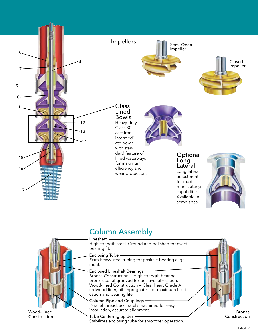

### Column Assembly

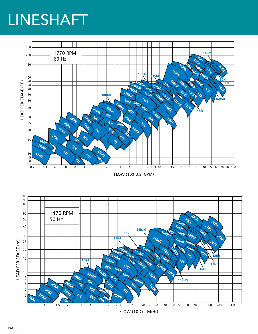## LINESHAFT

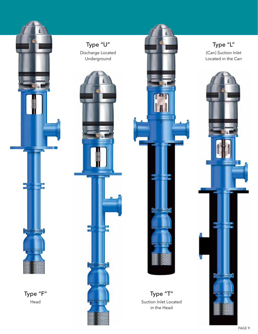

Type "F" Head







Suction Inlet Located in the Head

Type "L" (Can) Suction Inlet Located in the Can

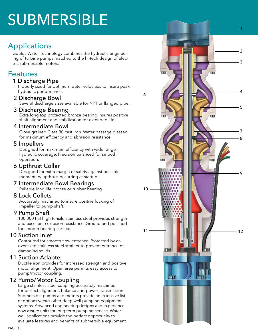## SUBMERSIBLE

## **Applications**

Goulds Water Technology combines the hydraulic engineer ing of turbine pumps matched to the hi-tech design of elec tric submersible motors.

### Features

#### 1 Discharge Pipe

 Properly sized for optimum water velocities to insure peak hydraulic performance.

2 Discharge Bowl

Several discharge sizes available for NPT or flanged pipe.

3 Discharge Bearing

 Extra long top protected bronze bearing insures positive shaft alignment and stabilization for extended life.

#### 4 Intermediate Bowl

 Close grained Class 30 cast iron. Water passage glassed for maximum efficiency and abrasion resistance.

#### 5 Impellers

 Designed for maximum efficiency with wide range hydraulic coverage. Precision balanced for smooth operation.

6 Upthrust Collar

 Designed for extra margin of safety against possible momentary upthrust occurring at startup.

7 Intermediate Bowl Bearings

Reliable long life bronze or rubber bearing.

#### 8 Lock Collets

 Accurately machined to insure positive locking of impeller to pump shaft.

#### 9 Pump Shaft

 100,000 PSI high tensile stainless steel provides strength and excellent corrosion resistance. Ground and polished for smooth bearing surface.

#### 10 Suction Inlet

 Contoured for smooth flow entrance. Protected by an oversized stainless steel strainer to prevent entrance of damaging solids.

#### 11 Suction Adapter

 Ductile iron provides for increased strength and positive motor alignment. Open area permits easy access to pump/motor coupling.

#### 12 Pump/Motor Coupling

 Large stainless steel coupling accurately machined for perfect alignment, balance and power transmission. Submersible pumps and motors provide an extensive list of options versus other deep well pumping equipment systems. Advanced engineering designs and experience now assure units for long term pumping service. Water well applications provide the perfect opportunity to evaluate features and benefits of submersible equipment.

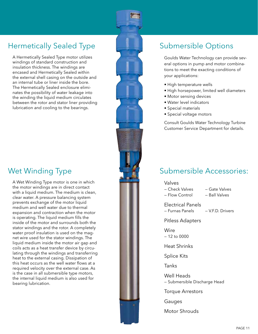## Hermetically Sealed Type

A Hermetically Sealed Type motor utilizes windings of standard construction and insulation thickness. The windings are encased and Hermetically Sealed within the external shell casing on the outside and an internal tube or liner inside the bore. The Hermetically Sealed enclosure eliminates the possibility of water leakage into the winding the liquid medium circulates between the rotor and stator liner providing lubrication and cooling to the bearings.

## Wet Winding Type

A Wet Winding Type motor is one in which the motor windings are in direct contact with a liquid medium. The medium is clean, clear water. A pressure balancing system prevents exchange of the motor liquid medium and well water due to thermal expansion and contraction when the motor is operating. The liquid medium fills the inside of the motor and surrounds both the stator windings and the rotor. A completely water proof insulation is used on the magnet wire used for the stator windings. The liquid medium inside the motor air gap and coils acts as a heat transfer device by circulating through the windings and transferring heat to the external casing. Dissipation of this heat occurs as the well water flows at a required velocity over the external case. As is the case in all submersible type motors, the internal liquid medium is also used for bearing lubrication.



## Submersible Options

Goulds Water Technology can provide several options in pump and motor combinations to meet the exacting conditions of your applications:

- High temperature wells
- High horsepower, limited well diameters
- Motor sensing devices
- Water level indicators
- Special materials
- Special voltage motors

Consult Goulds Water Technology Turbine Customer Service Department for details.

### Submersible Accessories:

— Flow Control — Ball Valves

Valves

— Check Valves — Gate Valves

Electrical Panels — Furnas Panels — V.F.D. Drivers

Pitless Adapters

**Wire**  $-12$  to 0000

Heat Shrinks

Splice Kits

Tanks

Well Heads — Submersible Discharge Head

Torque Arrestors

Gauges

Motor Shrouds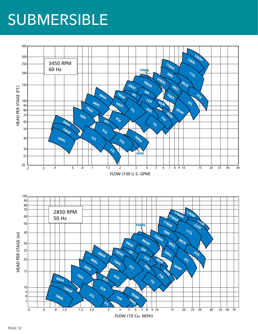## SUBMERSIBLE

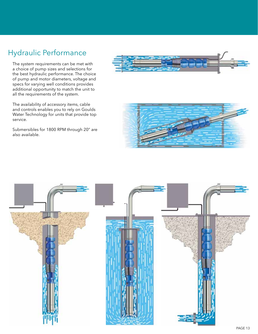## Hydraulic Performance

The system requirements can be met with a choice of pump sizes and selections for the best hydraulic performance. The choice of pump and motor diameters, voltage and specs for varying well conditions provides additional opportunity to match the unit to all the requirements of the system.

The availability of accessory items, cable and controls enables you to rely on Goulds Water Technology for units that provide top service.

Submersibles for 1800 RPM through 20" are also available.





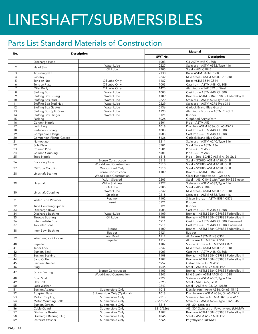## LINESHAFT/SUBMERSIBLES

## Parts List Standard Materials of Construction

|                | <b>Description</b>                               |                                      | <b>Material</b> |                                                                                      |
|----------------|--------------------------------------------------|--------------------------------------|-----------------|--------------------------------------------------------------------------------------|
| No.            |                                                  |                                      | <b>GWT No.</b>  | <b>Description</b>                                                                   |
| $\mathbf{1}$   | Discharge Head                                   |                                      | 1003            | C.I. ASTM A48,CL 30B                                                                 |
| $\overline{2}$ | <b>Head Shaft</b>                                | Water Lube                           | 2227            | Stainless - ASTM A582, Type 416                                                      |
|                |                                                  | Oil Lube                             | 2205            | Steel - AISI C1045                                                                   |
| 3              | Adjusting Nut                                    |                                      | 2130            | Brass ASTM B16M C360                                                                 |
| 4              | Gib Key                                          |                                      | 2242<br>1187    | Mild Steel - ASTM A108, Gr. 1018                                                     |
| 5<br>6         | <b>Tension Nut</b><br><b>Tension Plate</b>       | Oil Lube Only<br>Oil Lube Only       | 1003            | Brass ASTM B584 C844<br>Cast Iron - ASTM A48, CL 30B                                 |
| $\overline{7}$ | Oiler Body                                       | Oil Lube Only                        | 1425            | Aluminum - SAE 329 or Steel                                                          |
| 8              | Stuffing Box                                     | Water Lube                           | 1003            | Cast Iron - ASTM A48, CL 30B                                                         |
| 9              | <b>Stuffing Box Busing</b>                       | Water Lube                           | 1109            | Bronze - ASTM B584 C89835 Federalloy III                                             |
| 10             | Stuffing Box Stud                                | Water Lube                           | 2229            | Stainless - ASTM A276 Type 316                                                       |
| 11             | Stuffing Box Stud Nut                            | Water Lube                           | 2229            | Stainless - ASTM A276 Type 316                                                       |
| 12             | Stuffing Box Gasket                              | Water Lube                           | 5136            | Garlock Brand Blue Guard                                                             |
| 13<br>14       | Stuffing Box Split Gland<br>Stuffing Box Slinger | Water Lube<br>Water Lube             | 1193<br>5121    | Aluminum Bronze - ASTM B148HT<br>Rubber                                              |
| 15             | Packing                                          |                                      | 5026            | Graphited Acrylic Yarn                                                               |
| 16             | Column Nipple                                    |                                      | 6501            | Pipe - ASTM A53                                                                      |
| 17             | Lock Ring                                        |                                      | 1018            | Ductile - ASTM A536, Gr. 65-45-12                                                    |
| 18             | Reducer-Bushing                                  |                                      | 1003            | Cast Iron - ASTM A48, CL 30B                                                         |
| 19             | Companion Flange                                 |                                      | 1003            | Cast Iron - ASTM A48, CL 30B                                                         |
| 20             | Companion Flange Gasket                          |                                      | 5136            | Garlock Brand Blue Guard                                                             |
| 21             | Nameplate                                        |                                      | 3211            | Stainless - ASTM A240, Type 316                                                      |
| 22<br>23       | Sole Plate<br>Column Pipe                        |                                      | 3201<br>6501    | Steel Plate - ASTM A36<br>Pipe - ASTM A53                                            |
| 24             | Column Coupling                                  |                                      | 6501            | Pipe - ASTM A53                                                                      |
| 25             | Tube Nipple                                      |                                      | 6518            | Pipe - Steel SCH80 ASTM A120 Gr. B                                                   |
|                |                                                  | <b>Bronze Construction</b>           | 6518            | Steel - SCH80, ASTM A120, Gr. B                                                      |
| 26             | <b>Enclosing Tube</b>                            | Wood-Lined Construction              | 6518            | Steel - SCH80, ASTM A120, Gr. B                                                      |
| 27             | Oil Tube Coupling                                | Wood-Lined Only                      | 6518            | Steel - SCH80, ASTM A120, Gr. B                                                      |
| 28             | Lineshaft Bearing                                | <b>Bronze Construction</b>           | 1109            | Bronze - ASTM B584 C903                                                              |
| 29             | Lineshaft                                        | Wood-Lined Construction              |                 | Clear Heart Redwood - Grade A                                                        |
|                |                                                  | W/L - Sleeved<br>W/L - Stainless     | 2205<br>2227    | Steel - AISI C1045 with Type 304SS Sleeve<br>Stainless - ASTM A582, Type 416         |
|                |                                                  | Oil Lube                             | 2205            | Steel - AISI C1045                                                                   |
|                |                                                  | Water Lube                           | 2242            | Mild Steel - ASTM A108, Gr. 1018                                                     |
| 30             | Lineshaft Coupling                               | <b>Stainless</b>                     | 2218            | Stainless - ASTM A582, Type 416                                                      |
| 31             | Water Lube Retainer                              | Retainer                             | 1102            | Silicon Bronze - ASTM B584 C876                                                      |
|                |                                                  | Insert                               | 5121            | Rubber                                                                               |
| 32             | <b>Tube Centering Spider</b>                     |                                      | 5121            | Rubber                                                                               |
| 33             | Discharge Bowl                                   |                                      | 1003            | Cast Iron - ASTM A48, CL 30B                                                         |
| 34<br>35       | Discharge Bushing<br>Throttle Bushing            | Water Lube<br>Oil Lube               | 1109<br>1109    | Bronze - ASTM B584 C89835 Federalloy III<br>Bronze - ASTM B584 C89835 Federalloy III |
| 36             | Intermediate Bowl                                |                                      | 6911            | Cast Iron - ASTM A48, CL 30B, Enameled                                               |
| 37             | Top Inter Bowl                                   |                                      | 6911            | Cast Iron - ASTM A48, CL 30B, Enameled                                               |
| 38             |                                                  | Bronze                               | 1109            | Bronze - ASTM B584 C89835 Federalloy III                                             |
|                | Inter Bowl Bushing                               | Rubber                               | 5121            | Rubber                                                                               |
| 39             | Wear Rings - Optional                            | Inter Bowl                           | 1117            | AL Bronze ASTM B148 C954                                                             |
|                |                                                  | Impeller                             | 1117            | AL Bronze ASTM B148 C954                                                             |
| 40             | Impeller                                         |                                      | 1102<br>2242    | Silicon Bronze - ASTM B584 C876<br>Mild Steel - ASTM A108, Gr. 1018                  |
| 41<br>42       | Taper Lock<br>Suction Bowl                       |                                      | 1003            | Cast Iron - ASTM A48, CL 30B                                                         |
| 43             | Suction Bushing                                  |                                      | 1109            | Bronze - ASTM B584 C89835 Federalloy III                                             |
| 44             | Sand Collar                                      |                                      | 1109            | Bronze - ASTM B584 C89835 Federalloy III                                             |
| 45             | <b>Suction Strainer</b>                          |                                      | 6952            | Galvanized - ASTM A123                                                               |
| 46             | Plug                                             |                                      | 1046            | Steel - ASTM A197 Mall. Iron                                                         |
| 47             | <b>Screw Bearing</b>                             | <b>Bronze Construction</b>           | 1109            | Bronze - ASTM B584 C89835 Federalloy III                                             |
|                |                                                  | Wood-Lined Construction              | 2242            | Mild Steel - ASTM A108, Gr. 1018                                                     |
| 48             | Bowl Shaft                                       |                                      | 2227            | Stainless - ASTM A582, Type 416                                                      |
| 49<br>50       | Hex Bolt<br>Lock Washer                          |                                      | 2298<br>2242    | Steel - SAEJ 429, Gr. 8<br>Steel - ASTM A108, Gr. 10180                              |
| 51             | Suction Adapter                                  | Submersible Only                     | 1018            | Ductile Iron - Astm A536, Gr. 65-45-12                                               |
| 52             | Adapter Plate                                    | Submersible Only (Optional)          | 1018            | Ductile Iron - ASTM A536, Gr. 65-45-12                                               |
| 53             | Motor Coupling                                   | Submersible Only                     | 2218            | Stainless Steel - ASTM A582, Type 416                                                |
| 54             | <b>Motor Mounting Bolts</b>                      | Submersible Only                     | 2229/2228       | Stainless - ASTM A276, Type 316/304SS                                                |
| 55             | Suction Screen                                   | Submersible Only                     | 3215            | AISI 304 Stainless                                                                   |
| 56             | Cable Guard                                      | Submersible Only                     | 3215/6266       | AISI 304 Stainless or Polyethylene (UHMW)                                            |
| 57             | Discharge Bearing                                | Submersible Only                     | 1109            | Bronze - ASTM B584 C89835 Federalloy III                                             |
| 58<br>59       | Discharge Bearing Plug<br>Upthrust Washer        | Submersible Only<br>Submersible Only | 1046<br>6266    | Steel - ASTM A197 Mall. Iron<br>Polyethylene (UHMW)                                  |
|                |                                                  |                                      |                 |                                                                                      |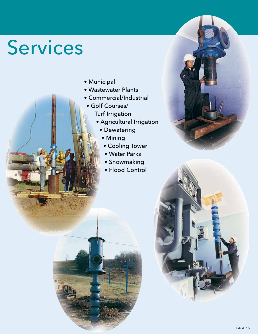# Services

- Municipal
- Wastewater Plants
- Commercial/Industrial
- Golf Courses/ Turf Irrigation
	- Agricultural Irrigation
		- Dewatering
		- Mining
		- Cooling Tower
		- Water Parks
		- Snowmaking
		- Flood Control